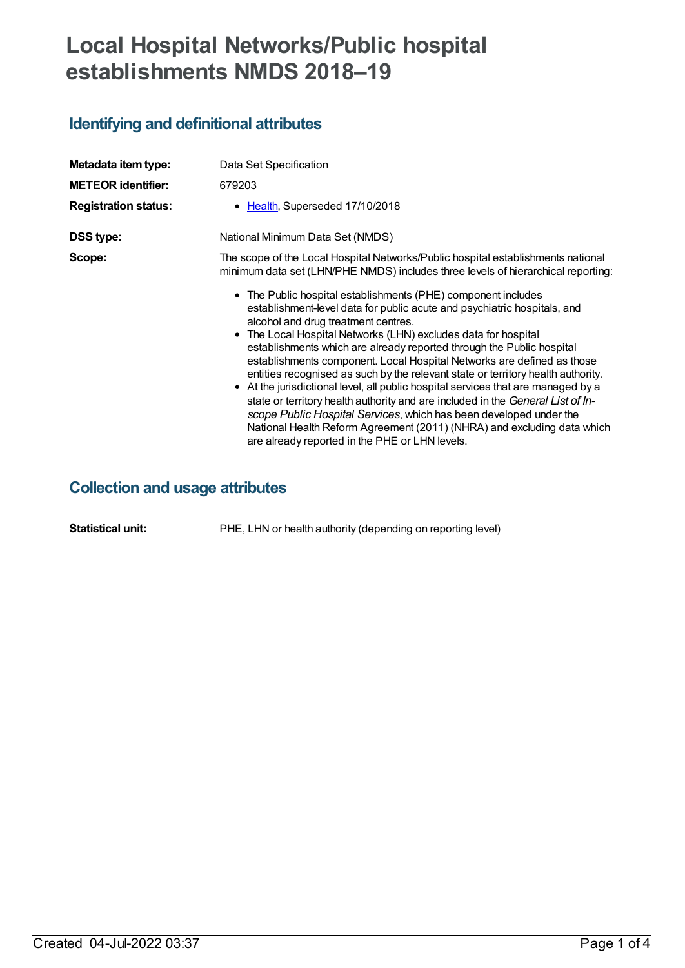# **Local Hospital Networks/Public hospital establishments NMDS 2018–19**

## **Identifying and definitional attributes**

| Metadata item type:<br><b>METEOR identifier:</b><br><b>Registration status:</b> | Data Set Specification<br>679203<br>• Health, Superseded 17/10/2018                                                                                                                                                                                                                                                                                                                                                                                                                                                                                                                                                                                                                                                                                                                                                                                                                                                                                                                                                                          |
|---------------------------------------------------------------------------------|----------------------------------------------------------------------------------------------------------------------------------------------------------------------------------------------------------------------------------------------------------------------------------------------------------------------------------------------------------------------------------------------------------------------------------------------------------------------------------------------------------------------------------------------------------------------------------------------------------------------------------------------------------------------------------------------------------------------------------------------------------------------------------------------------------------------------------------------------------------------------------------------------------------------------------------------------------------------------------------------------------------------------------------------|
| <b>DSS type:</b>                                                                | National Minimum Data Set (NMDS)                                                                                                                                                                                                                                                                                                                                                                                                                                                                                                                                                                                                                                                                                                                                                                                                                                                                                                                                                                                                             |
| Scope:                                                                          | The scope of the Local Hospital Networks/Public hospital establishments national<br>minimum data set (LHN/PHE NMDS) includes three levels of hierarchical reporting:<br>• The Public hospital establishments (PHE) component includes<br>establishment-level data for public acute and psychiatric hospitals, and<br>alcohol and drug treatment centres.<br>• The Local Hospital Networks (LHN) excludes data for hospital<br>establishments which are already reported through the Public hospital<br>establishments component. Local Hospital Networks are defined as those<br>entities recognised as such by the relevant state or territory health authority.<br>• At the jurisdictional level, all public hospital services that are managed by a<br>state or territory health authority and are included in the General List of In-<br>scope Public Hospital Services, which has been developed under the<br>National Health Reform Agreement (2011) (NHRA) and excluding data which<br>are already reported in the PHE or LHN levels. |

## **Collection and usage attributes**

**Statistical unit:** PHE, LHN or health authority (depending on reporting level)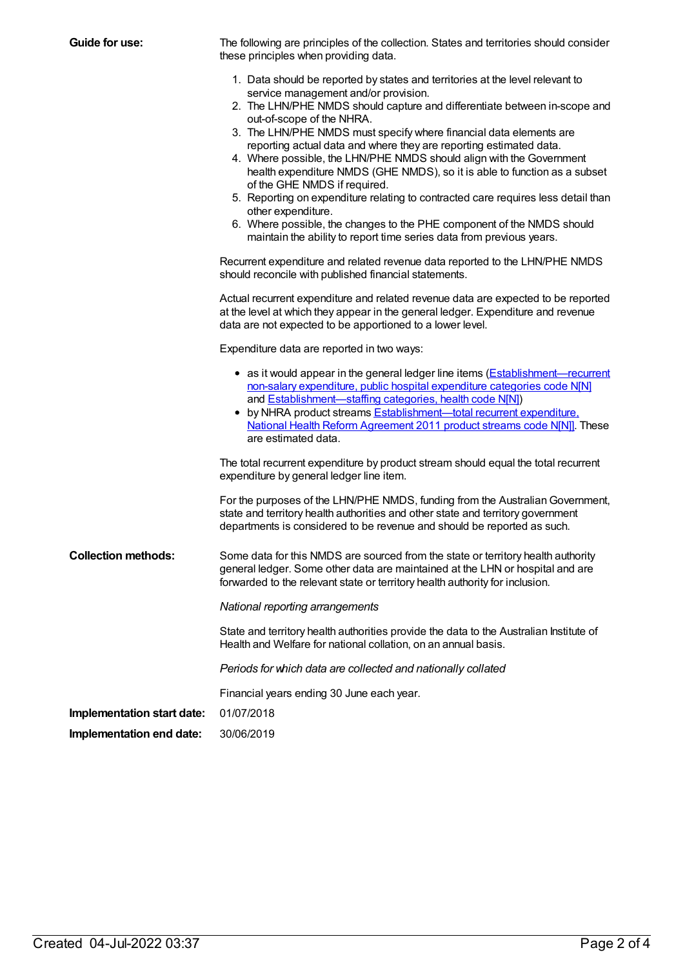| <b>Guide for use:</b>      | The following are principles of the collection. States and territories should consider<br>these principles when providing data.                                                                                                                                                                                                                                                                                                                                                                                    |  |  |
|----------------------------|--------------------------------------------------------------------------------------------------------------------------------------------------------------------------------------------------------------------------------------------------------------------------------------------------------------------------------------------------------------------------------------------------------------------------------------------------------------------------------------------------------------------|--|--|
|                            | 1. Data should be reported by states and territories at the level relevant to<br>service management and/or provision.                                                                                                                                                                                                                                                                                                                                                                                              |  |  |
|                            | 2. The LHN/PHE NMDS should capture and differentiate between in-scope and<br>out-of-scope of the NHRA.                                                                                                                                                                                                                                                                                                                                                                                                             |  |  |
|                            | 3. The LHN/PHE NMDS must specify where financial data elements are<br>reporting actual data and where they are reporting estimated data.<br>4. Where possible, the LHN/PHE NMDS should align with the Government<br>health expenditure NMDS (GHE NMDS), so it is able to function as a subset<br>of the GHE NMDS if required.<br>5. Reporting on expenditure relating to contracted care requires less detail than<br>other expenditure.<br>6. Where possible, the changes to the PHE component of the NMDS should |  |  |
|                            | maintain the ability to report time series data from previous years.                                                                                                                                                                                                                                                                                                                                                                                                                                               |  |  |
|                            | Recurrent expenditure and related revenue data reported to the LHN/PHE NMDS<br>should reconcile with published financial statements.                                                                                                                                                                                                                                                                                                                                                                               |  |  |
|                            | Actual recurrent expenditure and related revenue data are expected to be reported<br>at the level at which they appear in the general ledger. Expenditure and revenue<br>data are not expected to be apportioned to a lower level.                                                                                                                                                                                                                                                                                 |  |  |
|                            | Expenditure data are reported in two ways:                                                                                                                                                                                                                                                                                                                                                                                                                                                                         |  |  |
|                            | • as it would appear in the general ledger line items (Establishment—recurrent<br>non-salary expenditure, public hospital expenditure categories code N[N]<br>and <b>Establishment</b> —staffing categories, health code N[N])<br>• by NHRA product streams <b>Establishment-total recurrent expenditure</b> ,<br>National Health Reform Agreement 2011 product streams code N[N]]. These<br>are estimated data.                                                                                                   |  |  |
|                            | The total recurrent expenditure by product stream should equal the total recurrent<br>expenditure by general ledger line item.                                                                                                                                                                                                                                                                                                                                                                                     |  |  |
|                            | For the purposes of the LHN/PHE NMDS, funding from the Australian Government,<br>state and territory health authorities and other state and territory government<br>departments is considered to be revenue and should be reported as such.                                                                                                                                                                                                                                                                        |  |  |
| <b>Collection methods:</b> | Some data for this NMDS are sourced from the state or territory health authority<br>general ledger. Some other data are maintained at the LHN or hospital and are<br>forwarded to the relevant state or territory health authority for inclusion.                                                                                                                                                                                                                                                                  |  |  |
|                            | National reporting arrangements                                                                                                                                                                                                                                                                                                                                                                                                                                                                                    |  |  |
|                            | State and territory health authorities provide the data to the Australian Institute of<br>Health and Welfare for national collation, on an annual basis.                                                                                                                                                                                                                                                                                                                                                           |  |  |
|                            | Periods for which data are collected and nationally collated                                                                                                                                                                                                                                                                                                                                                                                                                                                       |  |  |
|                            | Financial years ending 30 June each year.                                                                                                                                                                                                                                                                                                                                                                                                                                                                          |  |  |
| Implementation start date: | 01/07/2018                                                                                                                                                                                                                                                                                                                                                                                                                                                                                                         |  |  |
| Implementation end date:   | 30/06/2019                                                                                                                                                                                                                                                                                                                                                                                                                                                                                                         |  |  |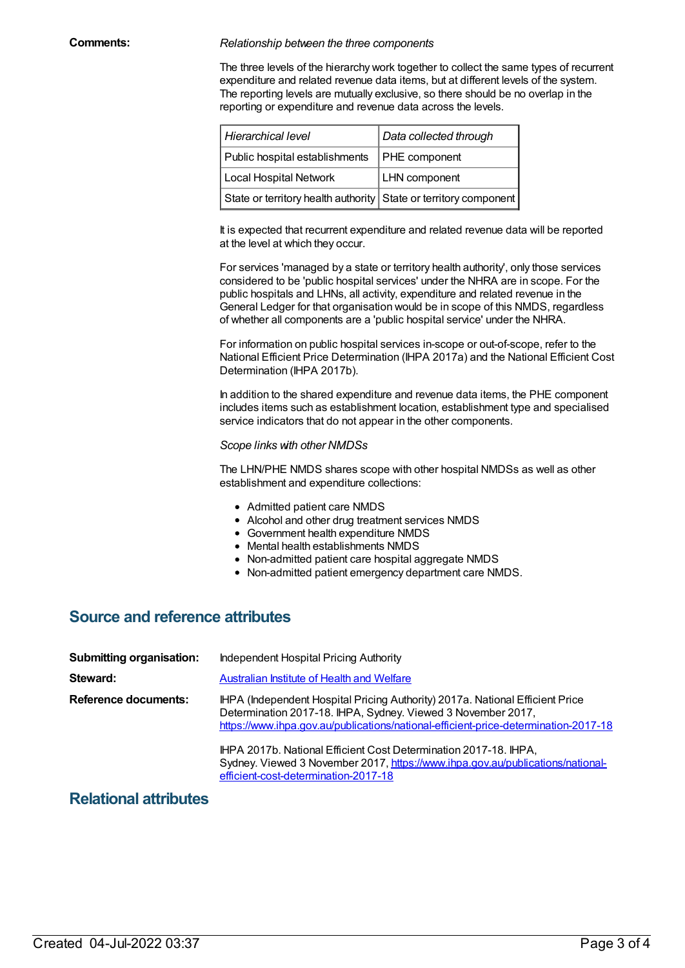#### **Comments:** *Relationship between the three components*

The three levels of the hierarchy work together to collect the same types of recurrent expenditure and related revenue data items, but at different levels of the system. The reporting levels are mutually exclusive, so there should be no overlap in the reporting or expenditure and revenue data across the levels.

| Hierarchical level                                               | Data collected through |  |
|------------------------------------------------------------------|------------------------|--|
| Public hospital establishments                                   | <b>PHE</b> component   |  |
| Local Hospital Network                                           | <b>LHN</b> component   |  |
| State or territory health authority State or territory component |                        |  |

It is expected that recurrent expenditure and related revenue data will be reported at the level at which they occur.

For services 'managed by a state or territory health authority', only those services considered to be 'public hospital services' under the NHRA are in scope. For the public hospitals and LHNs, all activity, expenditure and related revenue in the General Ledger for that organisation would be in scope of this NMDS, regardless of whether all components are a 'public hospital service' under the NHRA.

For information on public hospital services in-scope or out-of-scope, refer to the National Efficient Price Determination (IHPA 2017a) and the National Efficient Cost Determination (IHPA 2017b).

In addition to the shared expenditure and revenue data items, the PHE component includes items such as establishment location, establishment type and specialised service indicators that do not appear in the other components.

#### *Scope links with other NMDSs*

The LHN/PHE NMDS shares scope with other hospital NMDSs as well as other establishment and expenditure collections:

- Admitted patient care NMDS
- Alcohol and other drug treatment services NMDS
- Government health expenditure NMDS
- Mental health establishments NMDS
- Non-admitted patient care hospital aggregate NMDS
- Non-admitted patient emergency department care NMDS.

## **Source and reference attributes**

| <b>Submitting organisation:</b> | Independent Hospital Pricing Authority                                                                                                                                                                                                                                                                                                                                                                                             |
|---------------------------------|------------------------------------------------------------------------------------------------------------------------------------------------------------------------------------------------------------------------------------------------------------------------------------------------------------------------------------------------------------------------------------------------------------------------------------|
| Steward:                        | <b>Australian Institute of Health and Welfare</b>                                                                                                                                                                                                                                                                                                                                                                                  |
| Reference documents:            | IHPA (Independent Hospital Pricing Authority) 2017a. National Efficient Price<br>Determination 2017-18. IHPA, Sydney. Viewed 3 November 2017,<br>https://www.ihpa.gov.au/publications/national-efficient-price-determination-2017-18<br>IHPA 2017b. National Efficient Cost Determination 2017-18. IHPA,<br>Sydney. Viewed 3 November 2017, https://www.ihpa.gov.au/publications/national-<br>efficient-cost-determination-2017-18 |

### **Relational attributes**